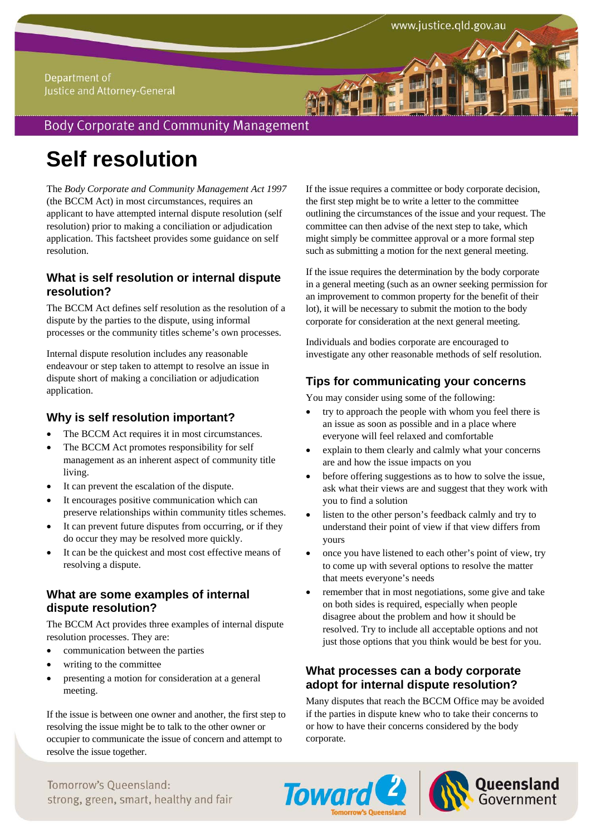#### Department of Justice and Attorney-General

# **Body Corporate and Community Management**

# **Self resolution**

The *Body Corporate and Community Management Act 1997* (the BCCM Act) in most circumstances, requires an applicant to have attempted internal dispute resolution (self resolution) prior to making a conciliation or adjudication application. This factsheet provides some guidance on self resolution.

### **What is self resolution or internal dispute resolution?**

The BCCM Act defines self resolution as the resolution of a dispute by the parties to the dispute, using informal processes or the community titles scheme's own processes.

Internal dispute resolution includes any reasonable endeavour or step taken to attempt to resolve an issue in dispute short of making a conciliation or adjudication application.

### **Why is self resolution important?**

- The BCCM Act requires it in most circumstances.
- The BCCM Act promotes responsibility for self management as an inherent aspect of community title living.
- It can prevent the escalation of the dispute.
- It encourages positive communication which can preserve relationships within community titles schemes.
- It can prevent future disputes from occurring, or if they do occur they may be resolved more quickly.
- It can be the quickest and most cost effective means of resolving a dispute.

## **What are some examples of internal dispute resolution?**

The BCCM Act provides three examples of internal dispute resolution processes. They are:

- communication between the parties
- writing to the committee
- presenting a motion for consideration at a general meeting.

If the issue is between one owner and another, the first step to resolving the issue might be to talk to the other owner or occupier to communicate the issue of concern and attempt to resolve the issue together.

If the issue requires a committee or body corporate decision, the first step might be to write a letter to the committee outlining the circumstances of the issue and your request. The committee can then advise of the next step to take, which might simply be committee approval or a more formal step such as submitting a motion for the next general meeting.

If the issue requires the determination by the body corporate in a general meeting (such as an owner seeking permission for an improvement to common property for the benefit of their lot), it will be necessary to submit the motion to the body corporate for consideration at the next general meeting.

Individuals and bodies corporate are encouraged to investigate any other reasonable methods of self resolution.

## **Tips for communicating your concerns**

You may consider using some of the following:

- try to approach the people with whom you feel there is an issue as soon as possible and in a place where everyone will feel relaxed and comfortable
- explain to them clearly and calmly what your concerns are and how the issue impacts on you
- before offering suggestions as to how to solve the issue, ask what their views are and suggest that they work with you to find a solution
- listen to the other person's feedback calmly and try to understand their point of view if that view differs from yours
- once you have listened to each other's point of view, try to come up with several options to resolve the matter that meets everyone's needs
- remember that in most negotiations, some give and take on both sides is required, especially when people disagree about the problem and how it should be resolved. Try to include all acceptable options and not just those options that you think would be best for you.

## **What processes can a body corporate adopt for internal dispute resolution?**

Many disputes that reach the BCCM Office may be avoided if the parties in dispute knew who to take their concerns to or how to have their concerns considered by the body corporate.





Tomorrow's Queensland: strong, green, smart, healthy and fair